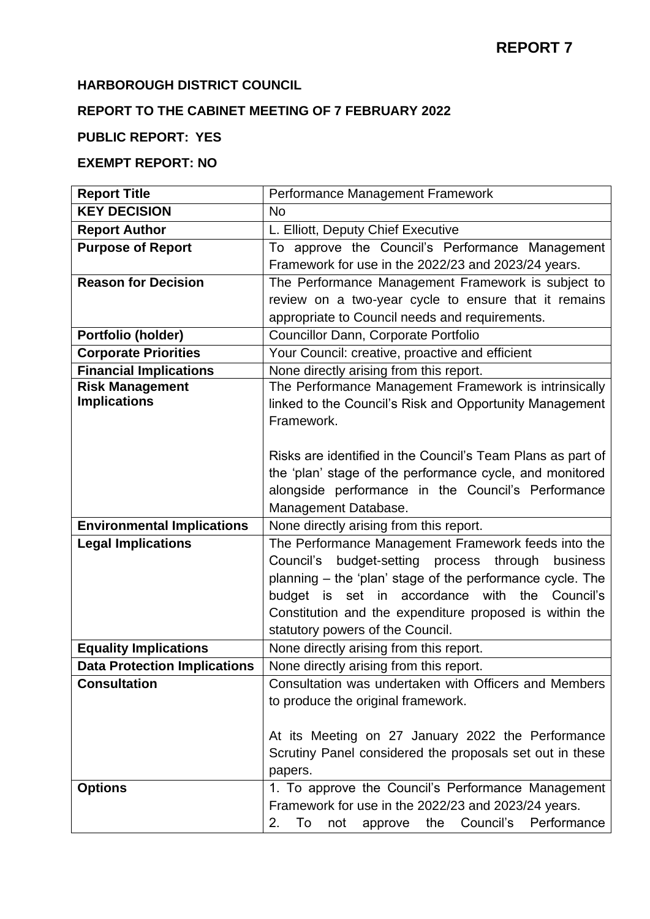### **HARBOROUGH DISTRICT COUNCIL**

# **REPORT TO THE CABINET MEETING OF 7 FEBRUARY 2022**

## **PUBLIC REPORT: YES**

### **EXEMPT REPORT: NO**

| <b>Report Title</b>                 | Performance Management Framework                              |
|-------------------------------------|---------------------------------------------------------------|
| <b>KEY DECISION</b>                 | <b>No</b>                                                     |
| <b>Report Author</b>                | L. Elliott, Deputy Chief Executive                            |
| <b>Purpose of Report</b>            | To approve the Council's Performance Management               |
|                                     | Framework for use in the 2022/23 and 2023/24 years.           |
| <b>Reason for Decision</b>          | The Performance Management Framework is subject to            |
|                                     | review on a two-year cycle to ensure that it remains          |
|                                     | appropriate to Council needs and requirements.                |
| Portfolio (holder)                  | Councillor Dann, Corporate Portfolio                          |
| <b>Corporate Priorities</b>         | Your Council: creative, proactive and efficient               |
| <b>Financial Implications</b>       | None directly arising from this report.                       |
| <b>Risk Management</b>              | The Performance Management Framework is intrinsically         |
| <b>Implications</b>                 | linked to the Council's Risk and Opportunity Management       |
|                                     | Framework.                                                    |
|                                     |                                                               |
|                                     | Risks are identified in the Council's Team Plans as part of   |
|                                     | the 'plan' stage of the performance cycle, and monitored      |
|                                     | alongside performance in the Council's Performance            |
|                                     | Management Database.                                          |
| <b>Environmental Implications</b>   | None directly arising from this report.                       |
| <b>Legal Implications</b>           | The Performance Management Framework feeds into the           |
|                                     | budget-setting process<br>through<br>Council's<br>business    |
|                                     | planning - the 'plan' stage of the performance cycle. The     |
|                                     | budget is set in accordance with the Council's                |
|                                     | Constitution and the expenditure proposed is within the       |
|                                     | statutory powers of the Council.                              |
| <b>Equality Implications</b>        | None directly arising from this report.                       |
| <b>Data Protection Implications</b> | None directly arising from this report.                       |
| <b>Consultation</b>                 | Consultation was undertaken with Officers and Members         |
|                                     | to produce the original framework.                            |
|                                     |                                                               |
|                                     | At its Meeting on 27 January 2022 the Performance             |
|                                     | Scrutiny Panel considered the proposals set out in these      |
|                                     | papers.                                                       |
| <b>Options</b>                      | 1. To approve the Council's Performance Management            |
|                                     | Framework for use in the 2022/23 and 2023/24 years.           |
|                                     | Performance<br>To<br>Council's<br>2.<br>the<br>not<br>approve |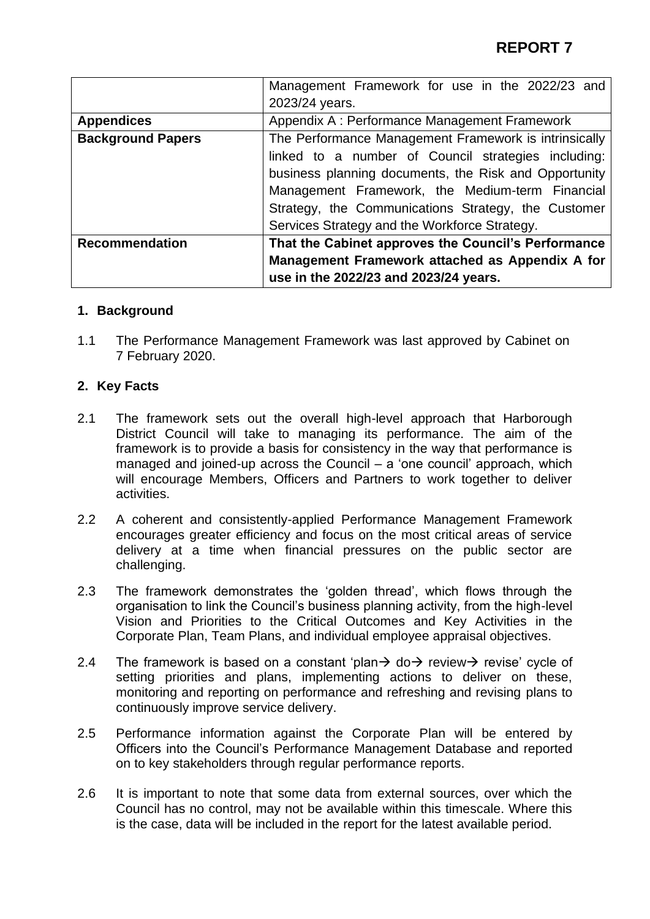|                          | Management Framework for use in the 2022/23 and       |
|--------------------------|-------------------------------------------------------|
|                          | 2023/24 years.                                        |
| <b>Appendices</b>        | Appendix A: Performance Management Framework          |
| <b>Background Papers</b> | The Performance Management Framework is intrinsically |
|                          | linked to a number of Council strategies including:   |
|                          | business planning documents, the Risk and Opportunity |
|                          | Management Framework, the Medium-term Financial       |
|                          | Strategy, the Communications Strategy, the Customer   |
|                          | Services Strategy and the Workforce Strategy.         |
| <b>Recommendation</b>    | That the Cabinet approves the Council's Performance   |
|                          | Management Framework attached as Appendix A for       |
|                          | use in the 2022/23 and 2023/24 years.                 |

#### **1. Background**

1.1 The Performance Management Framework was last approved by Cabinet on 7 February 2020.

#### **2. Key Facts**

- 2.1 The framework sets out the overall high-level approach that Harborough District Council will take to managing its performance. The aim of the framework is to provide a basis for consistency in the way that performance is managed and joined-up across the Council – a 'one council' approach, which will encourage Members, Officers and Partners to work together to deliver activities.
- 2.2 A coherent and consistently-applied Performance Management Framework encourages greater efficiency and focus on the most critical areas of service delivery at a time when financial pressures on the public sector are challenging.
- 2.3 The framework demonstrates the 'golden thread', which flows through the organisation to link the Council's business planning activity, from the high-level Vision and Priorities to the Critical Outcomes and Key Activities in the Corporate Plan, Team Plans, and individual employee appraisal objectives.
- 2.4 The framework is based on a constant 'plan $\rightarrow$  do $\rightarrow$  review $\rightarrow$  revise' cycle of setting priorities and plans, implementing actions to deliver on these, monitoring and reporting on performance and refreshing and revising plans to continuously improve service delivery.
- 2.5 Performance information against the Corporate Plan will be entered by Officers into the Council's Performance Management Database and reported on to key stakeholders through regular performance reports.
- 2.6 It is important to note that some data from external sources, over which the Council has no control, may not be available within this timescale. Where this is the case, data will be included in the report for the latest available period.